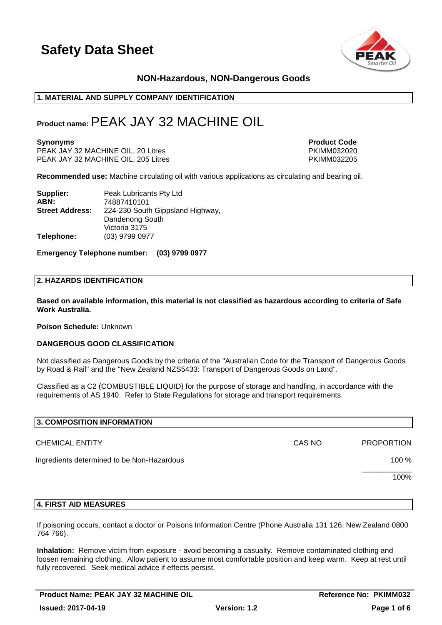

# **NON-Hazardous, NON-Dangerous Goods**

### **1. MATERIAL AND SUPPLY COMPANY IDENTIFICATION**

# **Product name:**PEAK JAY 32 MACHINE OIL

PEAK JAY 32 MACHINE OIL, 20 Litres PEAK JAY 32 MACHINE OIL, 20 Litres PEAK JAY 32 MACHINE OIL. 205 Litres PEAK PEAK JAY 32 MACHINE OIL, 205 Litres

**Synonyms Product Code** 

**Recommended use:** Machine circulating oil with various applications as circulating and bearing oil.

| Supplier:              | Peak Lubricants Pty Ltd          |
|------------------------|----------------------------------|
| ABN:                   | 74887410101                      |
| <b>Street Address:</b> | 224-230 South Gippsland Highway, |
|                        | Dandenong South                  |
|                        | Victoria 3175                    |
| Telephone:             | (03) 9799 0977                   |

**Emergency Telephone number: (03) 9799 0977**

### **2. HAZARDS IDENTIFICATION**

**Based on available information, this material is not classified as hazardous according to criteria of Safe Work Australia.**

**Poison Schedule:** Unknown

### **DANGEROUS GOOD CLASSIFICATION**

Not classified as Dangerous Goods by the criteria of the "Australian Code for the Transport of Dangerous Goods by Road & Rail" and the "New Zealand NZS5433: Transport of Dangerous Goods on Land".

Classified as a C2 (COMBUSTIBLE LIQUID) for the purpose of storage and handling, in accordance with the requirements of AS 1940. Refer to State Regulations for storage and transport requirements.

| 3. COMPOSITION INFORMATION                 |        |                   |
|--------------------------------------------|--------|-------------------|
| <b>CHEMICAL ENTITY</b>                     | CAS NO | <b>PROPORTION</b> |
| Ingredients determined to be Non-Hazardous |        | 100 %             |
|                                            |        | 100%              |
|                                            |        |                   |

### **4. FIRST AID MEASURES**

If poisoning occurs, contact a doctor or Poisons Information Centre (Phone Australia 131 126, New Zealand 0800 764 766).

**Inhalation:** Remove victim from exposure - avoid becoming a casualty. Remove contaminated clothing and loosen remaining clothing. Allow patient to assume most comfortable position and keep warm. Keep at rest until fully recovered. Seek medical advice if effects persist.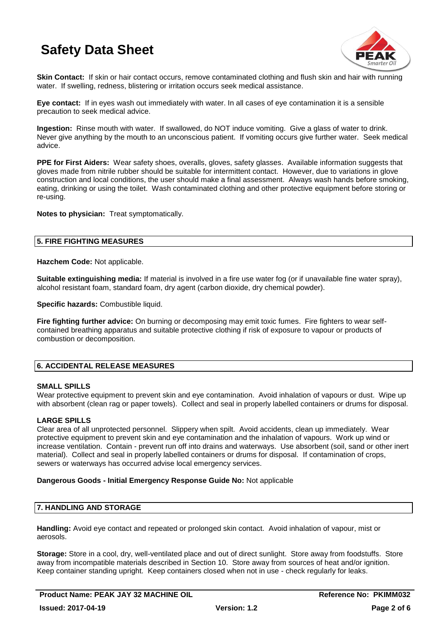

**Skin Contact:** If skin or hair contact occurs, remove contaminated clothing and flush skin and hair with running water. If swelling, redness, blistering or irritation occurs seek medical assistance.

**Eye contact:** If in eyes wash out immediately with water. In all cases of eye contamination it is a sensible precaution to seek medical advice.

**Ingestion:** Rinse mouth with water. If swallowed, do NOT induce vomiting. Give a glass of water to drink. Never give anything by the mouth to an unconscious patient. If vomiting occurs give further water. Seek medical advice.

**PPE for First Aiders:** Wear safety shoes, overalls, gloves, safety glasses. Available information suggests that gloves made from nitrile rubber should be suitable for intermittent contact. However, due to variations in glove construction and local conditions, the user should make a final assessment. Always wash hands before smoking, eating, drinking or using the toilet. Wash contaminated clothing and other protective equipment before storing or re-using.

**Notes to physician:** Treat symptomatically.

# **5. FIRE FIGHTING MEASURES**

**Hazchem Code:** Not applicable.

**Suitable extinguishing media:** If material is involved in a fire use water fog (or if unavailable fine water spray), alcohol resistant foam, standard foam, dry agent (carbon dioxide, dry chemical powder).

**Specific hazards:** Combustible liquid.

**Fire fighting further advice:** On burning or decomposing may emit toxic fumes. Fire fighters to wear selfcontained breathing apparatus and suitable protective clothing if risk of exposure to vapour or products of combustion or decomposition.

# **6. ACCIDENTAL RELEASE MEASURES**

# **SMALL SPILLS**

Wear protective equipment to prevent skin and eye contamination. Avoid inhalation of vapours or dust. Wipe up with absorbent (clean rag or paper towels). Collect and seal in properly labelled containers or drums for disposal.

# **LARGE SPILLS**

Clear area of all unprotected personnel. Slippery when spilt. Avoid accidents, clean up immediately. Wear protective equipment to prevent skin and eye contamination and the inhalation of vapours. Work up wind or increase ventilation. Contain - prevent run off into drains and waterways. Use absorbent (soil, sand or other inert material). Collect and seal in properly labelled containers or drums for disposal. If contamination of crops, sewers or waterways has occurred advise local emergency services.

# **Dangerous Goods - Initial Emergency Response Guide No:** Not applicable

# **7. HANDLING AND STORAGE**

**Handling:** Avoid eye contact and repeated or prolonged skin contact. Avoid inhalation of vapour, mist or aerosols.

**Storage:** Store in a cool, dry, well-ventilated place and out of direct sunlight. Store away from foodstuffs. Store away from incompatible materials described in Section 10. Store away from sources of heat and/or ignition. Keep container standing upright. Keep containers closed when not in use - check regularly for leaks.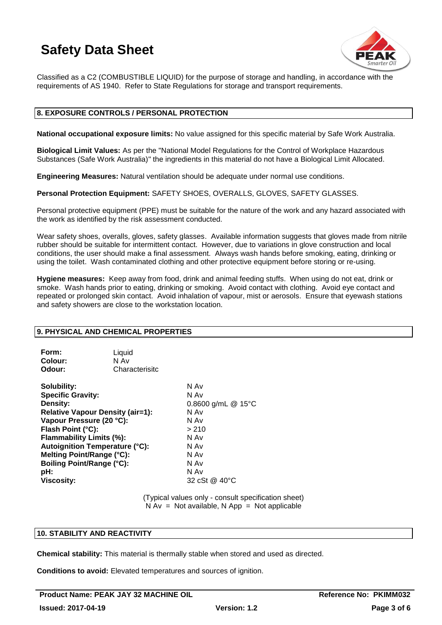

Classified as a C2 (COMBUSTIBLE LIQUID) for the purpose of storage and handling, in accordance with the requirements of AS 1940. Refer to State Regulations for storage and transport requirements.

# **8. EXPOSURE CONTROLS / PERSONAL PROTECTION**

**National occupational exposure limits:** No value assigned for this specific material by Safe Work Australia.

**Biological Limit Values:** As per the "National Model Regulations for the Control of Workplace Hazardous Substances (Safe Work Australia)" the ingredients in this material do not have a Biological Limit Allocated.

**Engineering Measures:** Natural ventilation should be adequate under normal use conditions.

**Personal Protection Equipment:** SAFETY SHOES, OVERALLS, GLOVES, SAFETY GLASSES.

Personal protective equipment (PPE) must be suitable for the nature of the work and any hazard associated with the work as identified by the risk assessment conducted.

Wear safety shoes, overalls, gloves, safety glasses. Available information suggests that gloves made from nitrile rubber should be suitable for intermittent contact. However, due to variations in glove construction and local conditions, the user should make a final assessment. Always wash hands before smoking, eating, drinking or using the toilet. Wash contaminated clothing and other protective equipment before storing or re-using.

**Hygiene measures:** Keep away from food, drink and animal feeding stuffs. When using do not eat, drink or smoke. Wash hands prior to eating, drinking or smoking. Avoid contact with clothing. Avoid eye contact and repeated or prolonged skin contact. Avoid inhalation of vapour, mist or aerosols. Ensure that eyewash stations and safety showers are close to the workstation location.

### **9. PHYSICAL AND CHEMICAL PROPERTIES**

| Liquid         |  |
|----------------|--|
| N Av           |  |
| Characterisitc |  |
|                |  |

**Solubility:** N Av **Specific Gravity:** N Av **Density:** 0.8600 g/mL @ 15°C **Relative Vapour Density (air=1):** N Av **Vapour Pressure (20 °C):** N Av **Flash Point (°C):** > 210 **Flammability Limits (%):** N Av **Autoignition Temperature (°C):** N Av **Melting Point/Range (°C):** N Av **Boiling Point/Range (°C):** N Av<br> **pH:** N Av **pH:** N Av **Viscosity:** 32 cSt @ 40°C

(Typical values only - consult specification sheet)  $N Av = Not available, N App = Not applicable$ 

# **10. STABILITY AND REACTIVITY**

**Chemical stability:** This material is thermally stable when stored and used as directed.

**Conditions to avoid:** Elevated temperatures and sources of ignition.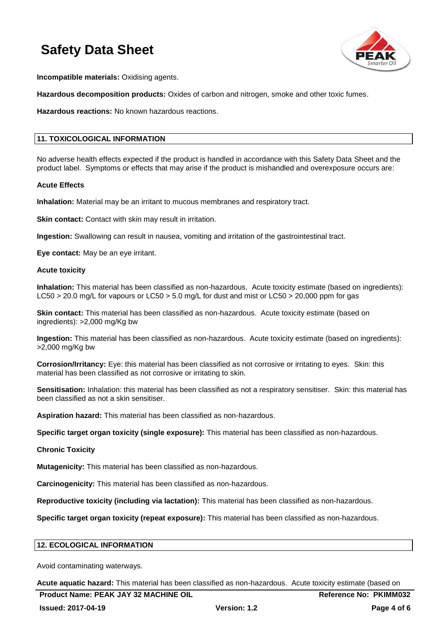

**Incompatible materials:** Oxidising agents.

**Hazardous decomposition products:** Oxides of carbon and nitrogen, smoke and other toxic fumes.

**Hazardous reactions:** No known hazardous reactions.

# **11. TOXICOLOGICAL INFORMATION**

No adverse health effects expected if the product is handled in accordance with this Safety Data Sheet and the product label. Symptoms or effects that may arise if the product is mishandled and overexposure occurs are:

### **Acute Effects**

**Inhalation:** Material may be an irritant to mucous membranes and respiratory tract.

**Skin contact:** Contact with skin may result in irritation.

**Ingestion:** Swallowing can result in nausea, vomiting and irritation of the gastrointestinal tract.

**Eye contact:** May be an eye irritant.

### **Acute toxicity**

**Inhalation:** This material has been classified as non-hazardous. Acute toxicity estimate (based on ingredients): LC50 > 20.0 mg/L for vapours or LC50 > 5.0 mg/L for dust and mist or LC50 > 20,000 ppm for gas

**Skin contact:** This material has been classified as non-hazardous. Acute toxicity estimate (based on ingredients): >2,000 mg/Kg bw

**Ingestion:** This material has been classified as non-hazardous. Acute toxicity estimate (based on ingredients): >2,000 mg/Kg bw

**Corrosion/Irritancy:** Eye: this material has been classified as not corrosive or irritating to eyes. Skin: this material has been classified as not corrosive or irritating to skin.

**Sensitisation:** Inhalation: this material has been classified as not a respiratory sensitiser. Skin: this material has been classified as not a skin sensitiser.

**Aspiration hazard:** This material has been classified as non-hazardous.

**Specific target organ toxicity (single exposure):** This material has been classified as non-hazardous.

# **Chronic Toxicity**

**Mutagenicity:** This material has been classified as non-hazardous.

**Carcinogenicity:** This material has been classified as non-hazardous.

**Reproductive toxicity (including via lactation):** This material has been classified as non-hazardous.

**Specific target organ toxicity (repeat exposure):** This material has been classified as non-hazardous.

# **12. ECOLOGICAL INFORMATION**

Avoid contaminating waterways.

**Acute aquatic hazard:** This material has been classified as non-hazardous. Acute toxicity estimate (based on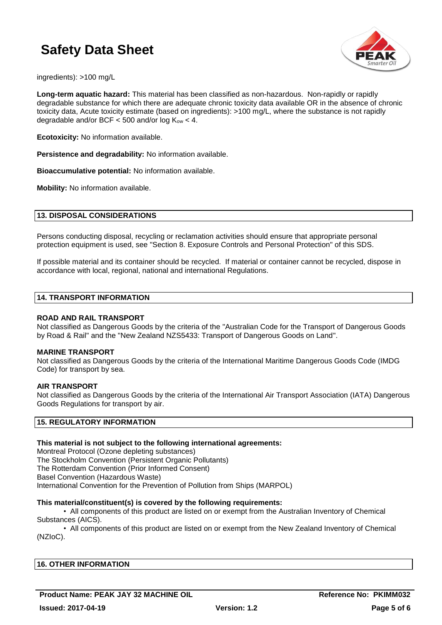

ingredients): >100 mg/L

**Long-term aquatic hazard:** This material has been classified as non-hazardous. Non-rapidly or rapidly degradable substance for which there are adequate chronic toxicity data available OR in the absence of chronic toxicity data, Acute toxicity estimate (based on ingredients): >100 mg/L, where the substance is not rapidly degradable and/or BCF  $<$  500 and/or log K<sub>ow</sub>  $<$  4.

**Ecotoxicity:** No information available.

**Persistence and degradability:** No information available.

**Bioaccumulative potential:** No information available.

**Mobility:** No information available.

# **13. DISPOSAL CONSIDERATIONS**

Persons conducting disposal, recycling or reclamation activities should ensure that appropriate personal protection equipment is used, see "Section 8. Exposure Controls and Personal Protection" of this SDS.

If possible material and its container should be recycled. If material or container cannot be recycled, dispose in accordance with local, regional, national and international Regulations.

### **14. TRANSPORT INFORMATION**

### **ROAD AND RAIL TRANSPORT**

Not classified as Dangerous Goods by the criteria of the "Australian Code for the Transport of Dangerous Goods by Road & Rail" and the "New Zealand NZS5433: Transport of Dangerous Goods on Land".

### **MARINE TRANSPORT**

Not classified as Dangerous Goods by the criteria of the International Maritime Dangerous Goods Code (IMDG Code) for transport by sea.

### **AIR TRANSPORT**

Not classified as Dangerous Goods by the criteria of the International Air Transport Association (IATA) Dangerous Goods Regulations for transport by air.

# **15. REGULATORY INFORMATION**

# **This material is not subject to the following international agreements:**

Montreal Protocol (Ozone depleting substances) The Stockholm Convention (Persistent Organic Pollutants) The Rotterdam Convention (Prior Informed Consent) Basel Convention (Hazardous Waste) International Convention for the Prevention of Pollution from Ships (MARPOL)

### **This material/constituent(s) is covered by the following requirements:**

• All components of this product are listed on or exempt from the Australian Inventory of Chemical Substances (AICS).

• All components of this product are listed on or exempt from the New Zealand Inventory of Chemical (NZIoC).

| <b>16. OTHER INFORMATION</b> |  |  |
|------------------------------|--|--|
|                              |  |  |